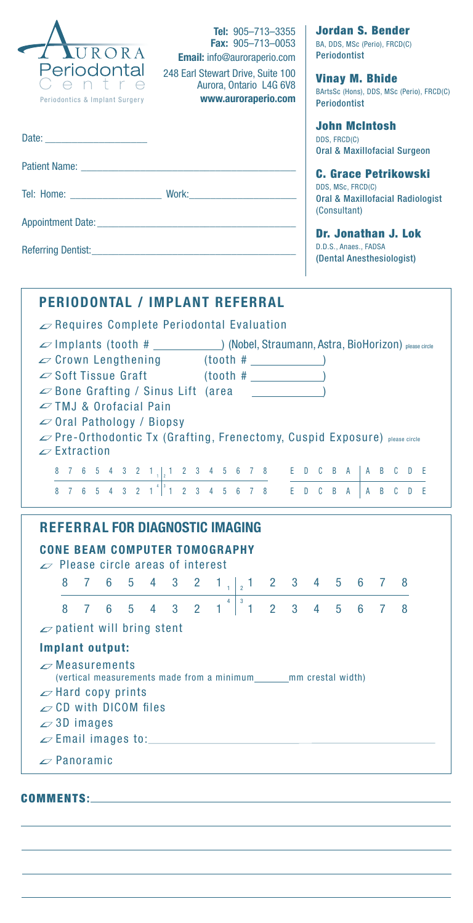| <b>Tel:</b> $905 - 713 - 3355$<br><b>Fax: <math>905 - 713 - 0053</math></b><br>URORA<br><b>Email:</b> info@auroraperio.com<br>Periodontal<br>248 Earl Stewart Drive, Suite 100<br>Aurora, Ontario L4G 6V8<br>www.auroraperio.com<br>Periodontics & Implant Surgery               | Jordan S. Bender<br>BA, DDS, MSc (Perio), FRCD(C)<br><b>Periodontist</b><br><b>Vinay M. Bhide</b><br>BArtsSc (Hons), DDS, MSc (Perio), FRCD(C)<br><b>Periodontist</b> |  |   |  |
|----------------------------------------------------------------------------------------------------------------------------------------------------------------------------------------------------------------------------------------------------------------------------------|-----------------------------------------------------------------------------------------------------------------------------------------------------------------------|--|---|--|
|                                                                                                                                                                                                                                                                                  | John McIntosh<br>DDS, FRCD(C)<br><b>Oral &amp; Maxillofacial Surgeon</b>                                                                                              |  |   |  |
|                                                                                                                                                                                                                                                                                  | <b>C. Grace Petrikowski</b>                                                                                                                                           |  |   |  |
|                                                                                                                                                                                                                                                                                  | DDS, MSc, FRCD(C)<br><b>Oral &amp; Maxillofacial Radiologist</b><br>(Consultant)                                                                                      |  |   |  |
|                                                                                                                                                                                                                                                                                  | Dr. Jonathan J. Lok                                                                                                                                                   |  |   |  |
|                                                                                                                                                                                                                                                                                  | D.D.S., Anaes., FADSA<br>(Dental Anesthesiologist)                                                                                                                    |  |   |  |
| <b>PERIODONTAL / IMPLANT REFERRAL</b>                                                                                                                                                                                                                                            |                                                                                                                                                                       |  |   |  |
| $\mathscr{D}$ Requires Complete Periodontal Evaluation                                                                                                                                                                                                                           |                                                                                                                                                                       |  |   |  |
| $\varphi$ Implants (tooth # $\rho$ (Nobel, Straumann, Astra, BioHorizon) please circle                                                                                                                                                                                           |                                                                                                                                                                       |  |   |  |
| $\infty$ Crown Lengthening (tooth # $\qquad$<br>$\infty$ Soft Tissue Graft (tooth # \square \square \square \square \square \square \square \square \square \square \square \square \square \square \square \square \square \square \square \square \square \square \square \squ |                                                                                                                                                                       |  |   |  |
|                                                                                                                                                                                                                                                                                  |                                                                                                                                                                       |  |   |  |
| $\infty$ Bone Grafting / Sinus Lift (area $\qquad \qquad$                                                                                                                                                                                                                        |                                                                                                                                                                       |  |   |  |
| $\sim$ TMJ & Orofacial Pain                                                                                                                                                                                                                                                      |                                                                                                                                                                       |  |   |  |
| $\infty$ Oral Pathology / Biopsy                                                                                                                                                                                                                                                 |                                                                                                                                                                       |  |   |  |
| ∠ Pre-Orthodontic Tx (Grafting, Frenectomy, Cuspid Exposure) please circle                                                                                                                                                                                                       |                                                                                                                                                                       |  |   |  |
| $\mathscr{D}$ Extraction                                                                                                                                                                                                                                                         |                                                                                                                                                                       |  |   |  |
|                                                                                                                                                                                                                                                                                  |                                                                                                                                                                       |  |   |  |
|                                                                                                                                                                                                                                                                                  |                                                                                                                                                                       |  |   |  |
| <b>REFERRAL FOR DIAGNOSTIC IMAGING</b>                                                                                                                                                                                                                                           |                                                                                                                                                                       |  |   |  |
|                                                                                                                                                                                                                                                                                  |                                                                                                                                                                       |  |   |  |
| <b>CONE BEAM COMPUTER TOMOGRAPHY</b><br>$\varphi$ Please circle areas of interest                                                                                                                                                                                                |                                                                                                                                                                       |  |   |  |
| 8<br>6<br>5<br>4<br>$3\quad 2$<br>7.                                                                                                                                                                                                                                             |                                                                                                                                                                       |  | 8 |  |
| $1_{12}$ 1 2 3 4 5 6 7<br>$4 \mid 3$<br>$5$ 4 3 2 1 1<br>7 6<br>8.                                                                                                                                                                                                               | $2 \quad 3 \quad 4 \quad 5 \quad 6 \quad 7$                                                                                                                           |  | 8 |  |
| $\omega$ patient will bring stent                                                                                                                                                                                                                                                |                                                                                                                                                                       |  |   |  |
| Implant output:                                                                                                                                                                                                                                                                  |                                                                                                                                                                       |  |   |  |
| $\mathscr{D}$ Measurements                                                                                                                                                                                                                                                       |                                                                                                                                                                       |  |   |  |
| (vertical measurements made from a minimum_______mm crestal width)<br>$\mathscr{D}$ Hard copy prints                                                                                                                                                                             |                                                                                                                                                                       |  |   |  |
| $\mathcal{L}$ CD with DICOM files                                                                                                                                                                                                                                                |                                                                                                                                                                       |  |   |  |
| $\sim$ 3D images                                                                                                                                                                                                                                                                 |                                                                                                                                                                       |  |   |  |
| $\mathscr{L}$ Panoramic                                                                                                                                                                                                                                                          |                                                                                                                                                                       |  |   |  |